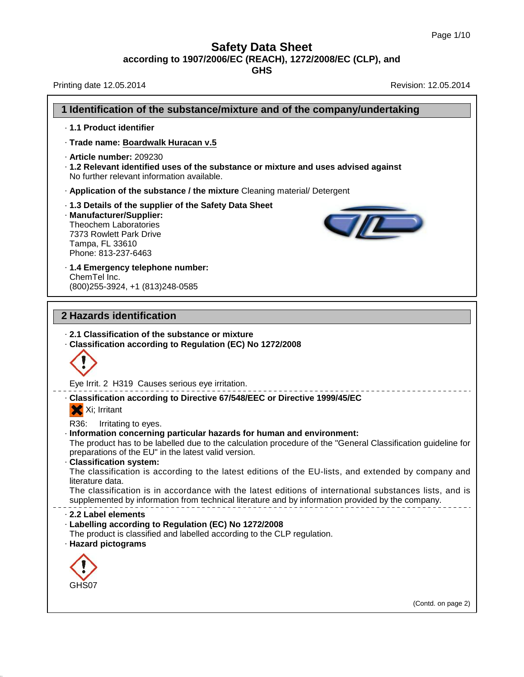**GHS**

Printing date 12.05.2014 **Revision: 12.05.2014** Revision: 12.05.2014

38.0.33

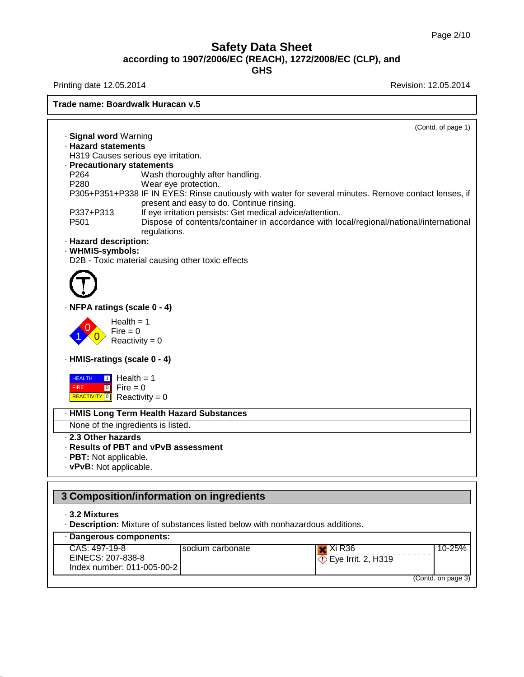Printing date 12.05.2014 **Printing date 12.05.2014** 

38.0.33

**Trade name: Boardwalk Huracan v.5** (Contd. of page 1) · **Signal word** Warning · **Hazard statements** H319 Causes serious eye irritation. · **Precautionary statements** P264 Wash thoroughly after handling.<br>P280 Wear eve protection. Wear eye protection. P305+P351+P338 IF IN EYES: Rinse cautiously with water for several minutes. Remove contact lenses, if present and easy to do. Continue rinsing. P337+P313 If eye irritation persists: Get medical advice/attention.<br>P501 Dispose of contents/container in accordance with lo Dispose of contents/container in accordance with local/regional/national/international regulations. · **Hazard description:** · **WHMIS-symbols:** D2B - Toxic material causing other toxic effects · **NFPA ratings (scale 0 - 4)**  $\overline{1 \times 0}$  Reactivity = 0  $\text{Fire} = 0$  $Health = 1$ · **HMIS-ratings (scale 0 - 4) HEALTH** 1 Hea FIRE **REALTH 11** Health = 1<br>FIRE **D** Fire = 0<br>REACTIVITY <mark>0</mark> Reactivity = 0  $\circ$  Fire = 0 · **HMIS Long Term Health Hazard Substances** None of the ingredients is listed. · **2.3 Other hazards** · **Results of PBT and vPvB assessment** · **PBT:** Not applicable. · **vPvB:** Not applicable. **3 Composition/information on ingredients** · **3.2 Mixtures** · **Description:** Mixture of substances listed below with nonhazardous additions. · **Dangerous components:** CAS: 497-19-8 EINECS: 207-838-8 Index number: 011-005-00-2 sodium carbonate **Xi R36**  $\overline{\textcircled{}}$  Eye Irrit. 2, H319 10-25% (Contd. on page 3)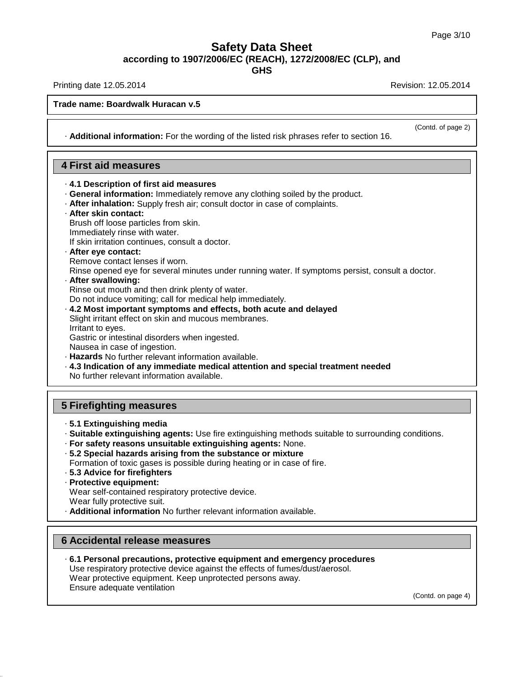**GHS**

Printing date 12.05.2014 **Revision: 12.05.2014** Revision: 12.05.2014

(Contd. of page 2)

**Trade name: Boardwalk Huracan v.5**

· **Additional information:** For the wording of the listed risk phrases refer to section 16.

#### **4 First aid measures**

- · **4.1 Description of first aid measures**
- · **General information:** Immediately remove any clothing soiled by the product.
- · **After inhalation:** Supply fresh air; consult doctor in case of complaints.

## · **After skin contact:**

- Brush off loose particles from skin. Immediately rinse with water.
- If skin irritation continues, consult a doctor.
- · **After eye contact:** Remove contact lenses if worn.
- Rinse opened eye for several minutes under running water. If symptoms persist, consult a doctor.
- · **After swallowing:** Rinse out mouth and then drink plenty of water.
- Do not induce vomiting; call for medical help immediately.
- · **4.2 Most important symptoms and effects, both acute and delayed** Slight irritant effect on skin and mucous membranes. Irritant to eyes. Gastric or intestinal disorders when ingested.
- Nausea in case of ingestion.
- · **Hazards** No further relevant information available.
- · **4.3 Indication of any immediate medical attention and special treatment needed** No further relevant information available.

## **5 Firefighting measures**

- · **5.1 Extinguishing media**
- · **Suitable extinguishing agents:** Use fire extinguishing methods suitable to surrounding conditions.
- · **For safety reasons unsuitable extinguishing agents:** None.
- · **5.2 Special hazards arising from the substance ormixture** Formation of toxic gases is possible during heating or in case of fire.
- · **5.3 Advice for firefighters**
- · **Protective equipment:**

Wear self-contained respiratory protective device.

Wear fully protective suit.

38.0.33

· **Additional information** No further relevant information available.

## **6 Accidental release measures**

· **6.1 Personal precautions, protective equipment and emergency procedures** Use respiratory protective device against the effects of fumes/dust/aerosol. Wear protective equipment. Keep unprotected persons away. Ensure adequate ventilation

(Contd. on page 4)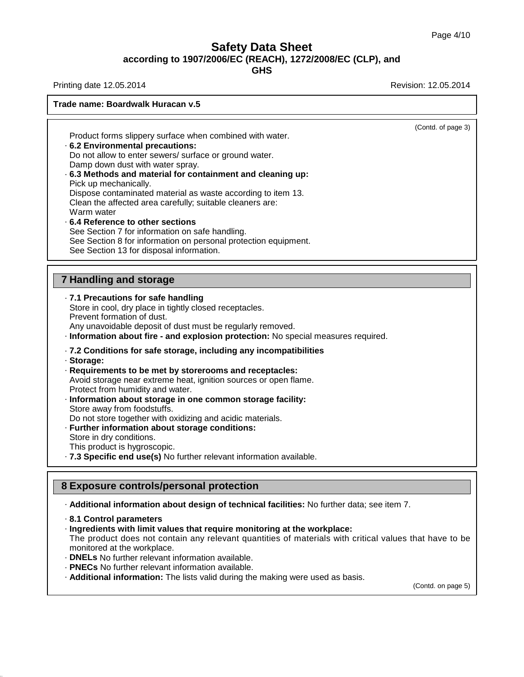**GHS**

Printing date 12.05.2014 **Printing date 12.05.2014** 

(Contd. of page 3)

Product forms slippery surface when combined with water.

- · **6.2 Environmental precautions:** Do not allow to enter sewers/ surface or ground water. Damp down dust with water spray.
- · **6.3 Methods and material for containment and cleaning up:** Pick up mechanically. Dispose contaminated material as waste according to item 13. Clean the affected area carefully; suitable cleaners are: Warm water
- · **6.4 Reference to other sections** See Section 7 for information on safe handling. See Section 8 for information on personal protection equipment. See Section 13 for disposal information.

# **7 Handling and storage**

- · **7.1 Precautions for safe handling** Store in cool, dry place in tightly closed receptacles. Prevent formation of dust. Any unavoidable deposit of dust must be regularly removed. · **Information about fire - and explosion protection:** No special measures required.
- · **7.2 Conditions for safe storage, including any incompatibilities**
- · **Storage:**
- · **Requirements to be met by storerooms and receptacles:** Avoid storage near extreme heat, ignition sources or open flame. Protect from humidity and water.
- · **Information about storage in one common storage facility:** Store away from foodstuffs.

Do not store together with oxidizing and acidic materials.

- · **Further information about storage conditions:** Store in dry conditions. This product is hygroscopic.
- · **7.3 Specific end use(s)** No further relevant information available.

## **8 Exposure controls/personal protection**

· **Additional information about design of technical facilities:** No further data; see item 7.

· **8.1 Control parameters**

38.0.33

· **Ingredients with limit values that require monitoring at the workplace:**

The product does not contain any relevant quantities of materials with critical values that have to be monitored at the workplace.

- · **DNELs** No further relevant information available.
- · **PNECs** No further relevant information available.
- · **Additional information:** The lists valid during the making were used as basis.

(Contd. on page 5)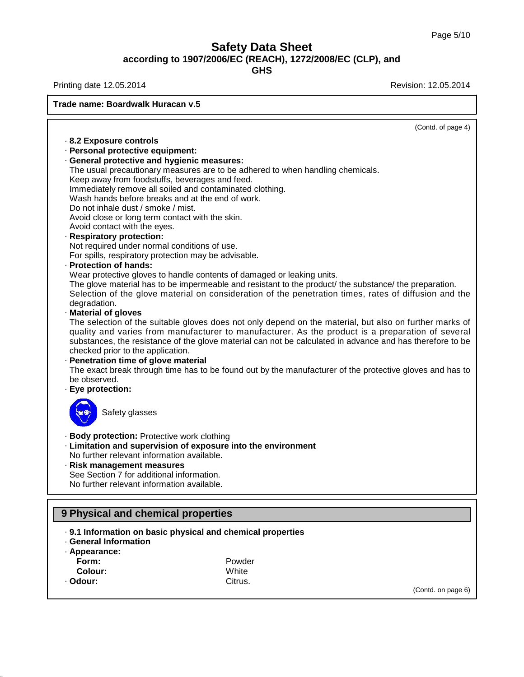Printing date 12.05.2014 **Printing date 12.05.2014** 

(Contd. of page 4)

· **8.2 Exposure controls** · **Personal protective equipment:** · **General protective and hygienic measures:** The usual precautionary measures are to be adhered to when handling chemicals.

Keep away from foodstuffs, beverages and feed. Immediately remove all soiled and contaminated clothing.

Wash hands before breaks and at the end of work.

Do not inhale dust / smoke / mist.

**Trade name: Boardwalk Huracan v.5**

Avoid close or long term contact with the skin.

Avoid contact with the eyes.

#### · **Respiratory protection:**

Not required under normal conditions of use.

For spills, respiratory protection may be advisable.

#### · **Protection of hands:**

Wear protective gloves to handle contents of damaged or leaking units.

The glove material has to be impermeable and resistant to the product/ the substance/ the preparation. Selection of the glove material on consideration of the penetration times, rates of diffusion and the degradation.

#### · **Material of gloves**

The selection of the suitable gloves does not only depend on the material, but also on further marks of quality and varies from manufacturer to manufacturer. As the product is a preparation of several substances, the resistance of the glove material can not be calculated in advance and has therefore to be checked prior to the application.

· **Penetration time of glove material** The exact break through time has to be found out by the manufacturer of the protective gloves and has to be observed.

· **Eye protection:**



Safety glasses

- · **Body protection:** Protective work clothing
- · **Limitation and supervision of exposure into the environment** No further relevant information available.
- · **Risk management measures** See Section 7 for additional information. No further relevant information available.

# **9 Physical and chemical properties**

- · **9.1 Information on basic physical and chemical properties**
- · **General Information**
- · **Appearance:**

38.0.33

| Form:    | Powder  |
|----------|---------|
| Colour:  | White   |
| · Odour: | Citrus. |

(Contd. on page 6)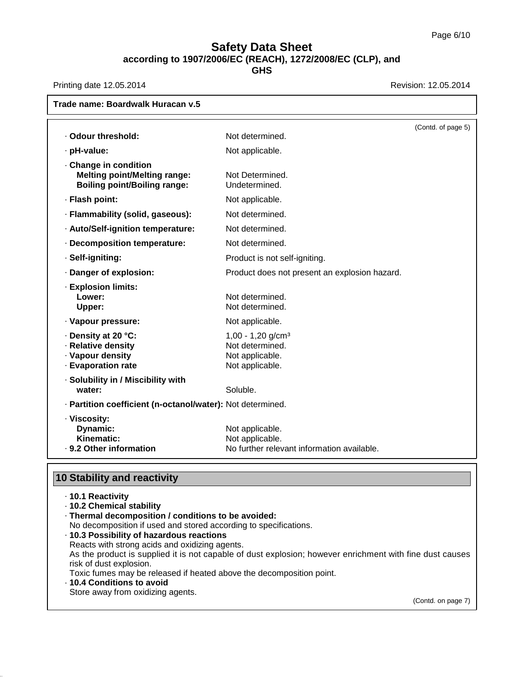**GHS**

Printing date 12.05.2014 **Printing date 12.05.2014** 

| · Odour threshold:                                                                                | Not determined.                                                                          | (Contd. of page 5) |
|---------------------------------------------------------------------------------------------------|------------------------------------------------------------------------------------------|--------------------|
|                                                                                                   |                                                                                          |                    |
| · pH-value:                                                                                       | Not applicable.                                                                          |                    |
| Change in condition<br><b>Melting point/Melting range:</b><br><b>Boiling point/Boiling range:</b> | Not Determined.<br>Undetermined.                                                         |                    |
| · Flash point:                                                                                    | Not applicable.                                                                          |                    |
| · Flammability (solid, gaseous):                                                                  | Not determined.                                                                          |                    |
| · Auto/Self-ignition temperature:                                                                 | Not determined.                                                                          |                    |
| · Decomposition temperature:                                                                      | Not determined.                                                                          |                    |
| · Self-igniting:                                                                                  | Product is not self-igniting.                                                            |                    |
| · Danger of explosion:                                                                            | Product does not present an explosion hazard.                                            |                    |
| · Explosion limits:<br>Lower:<br>Upper:                                                           | Not determined.<br>Not determined.                                                       |                    |
| · Vapour pressure:                                                                                | Not applicable.                                                                          |                    |
| · Density at 20 °C:<br>· Relative density<br>· Vapour density<br>· Evaporation rate               | $1,00 - 1,20$ g/cm <sup>3</sup><br>Not determined.<br>Not applicable.<br>Not applicable. |                    |
| · Solubility in / Miscibility with<br>water:                                                      | Soluble.                                                                                 |                    |
| · Partition coefficient (n-octanol/water): Not determined.                                        |                                                                                          |                    |
| · Viscosity:<br>Dynamic:<br>Kinematic:                                                            | Not applicable.<br>Not applicable.                                                       |                    |
| . 9.2 Other information                                                                           | No further relevant information available.                                               |                    |

# **10 Stability and reactivity**

· **10.1 Reactivity**

38.0.33

- · **10.2 Chemical stability**
- · **Thermal decomposition / conditions to be avoided:**

No decomposition if used and stored according to specifications.

· **10.3 Possibility of hazardous reactions** Reacts with strong acids and oxidizing agents. As the product is supplied it is not capable of dust explosion; however enrichment with fine dust causes risk of dust explosion. Toxic fumes may be released if heated above the decomposition point. · **10.4 Conditions to avoid**

Store away from oxidizing agents.

(Contd. on page 7)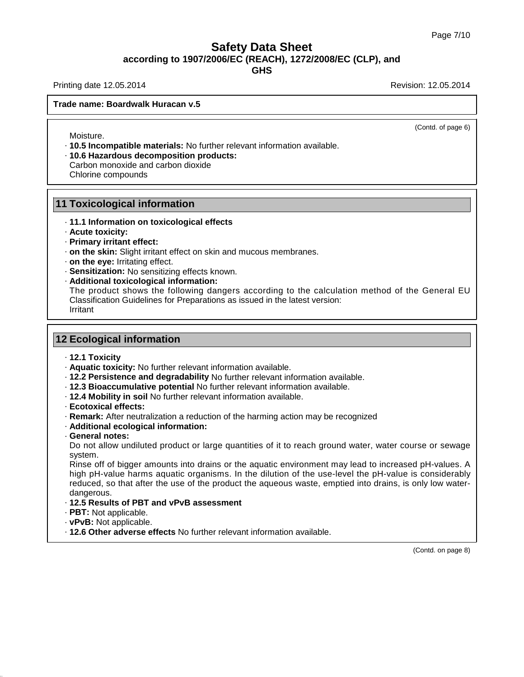Printing date 12.05.2014 **Revision: 12.05.2014** Revision: 12.05.2014

**Trade name: Boardwalk Huracan v.5**

(Contd. of page 6)

Moisture.

- · **10.5 Incompatible materials:** No further relevant information available.
- · **10.6 Hazardous decomposition products:**
- Carbon monoxide and carbon dioxide
- Chlorine compounds

## **11 Toxicological information**

- · **11.1 Information on toxicological effects**
- · **Acute toxicity:**
- · **Primary irritant effect:**
- · **on the skin:** Slight irritant effect on skin and mucous membranes.
- · **on the eye:** Irritating effect.
- · **Sensitization:** No sensitizing effects known.
- · **Additional toxicological information:**

The product shows the following dangers according to the calculation method of the General EU Classification Guidelines for Preparations as issued in the latest version: Irritant

## **12 Ecological information**

- · **12.1 Toxicity**
- · **Aquatic toxicity:** No further relevant information available.
- · **12.2 Persistence and degradability** No further relevant information available.
- · **12.3 Bioaccumulative potential** No further relevant information available.
- · **12.4 Mobility in soil** No further relevant information available.
- · **Ecotoxical effects:**
- · **Remark:** After neutralization a reduction of the harming action may be recognized
- · **Additional ecological information:**
- · **General notes:**

Do not allow undiluted product or large quantities of it to reach ground water, water course or sewage system.

Rinse off of bigger amounts into drains or the aquatic environment may lead to increased pH-values. A high pH-value harms aquatic organisms. In the dilution of the use-level the pH-value is considerably reduced, so that after the use of the product the aqueous waste, emptied into drains, is only low water dangerous.

- · **12.5 Results of PBT and vPvB assessment**
- · **PBT:** Not applicable.
- · **vPvB:** Not applicable.

38.0.33

· **12.6 Other adverse effects** No further relevant information available.

(Contd. on page 8)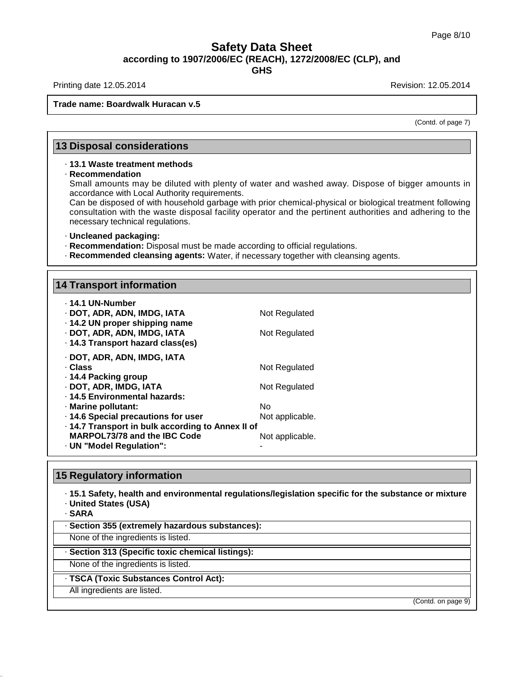Printing date 12.05.2014 **Printing date 12.05.2014** 

#### **Trade name: Boardwalk Huracan v.5**

(Contd. of page 7)

## **13 Disposal considerations**

#### · **13.1 Waste treatment methods**

#### · **Recommendation**

Small amounts may be diluted with plenty of water and washed away. Dispose of bigger amounts in accordance with Local Authority requirements.

Can be disposed of with household garbage with prior chemical-physical or biological treatment following consultation with the waste disposal facility operator and the pertinent authorities and adhering to the necessary technical regulations.

#### · **Uncleaned packaging:**

· **Recommendation:** Disposal must be made according to official regulations.

· **Recommended cleansing agents:** Water, if necessary together with cleansing agents.

| <b>14 Transport information</b>                                                                    |                 |
|----------------------------------------------------------------------------------------------------|-----------------|
| ⋅ 14.1 UN-Number                                                                                   |                 |
| · DOT, ADR, ADN, IMDG, IATA                                                                        | Not Regulated   |
| · 14.2 UN proper shipping name<br>· DOT, ADR, ADN, IMDG, IATA<br>· 14.3 Transport hazard class(es) | Not Regulated   |
| · DOT, ADR, ADN, IMDG, IATA                                                                        |                 |
| · Class                                                                                            | Not Regulated   |
| ⋅ 14.4 Packing group                                                                               |                 |
| · DOT, ADR, IMDG, IATA<br>. 14.5 Environmental hazards:                                            | Not Regulated   |
| · Marine pollutant:                                                                                | No.             |
| · 14.6 Special precautions for user                                                                | Not applicable. |
| · 14.7 Transport in bulk according to Annex II of                                                  |                 |
| <b>MARPOL73/78 and the IBC Code</b>                                                                | Not applicable. |
| · UN "Model Regulation":                                                                           |                 |

# **15 Regulatory information**

· **15.1 Safety, health and environmental regulations/legislation specific for the substance ormixture** · **United States (USA)**

· **SARA**

38.0.33

· **Section 355 (extremely hazardous substances):**

None of the ingredients is listed.

· **Section 313 (Specific toxic chemical listings):**

None of the ingredients is listed.

· **TSCA (Toxic Substances Control Act):**

All ingredients are listed.

(Contd. on page 9)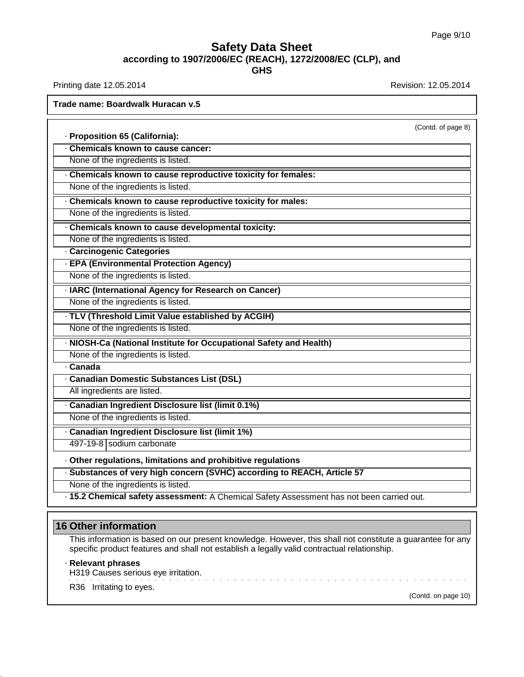Printing date 12.05.2014 **Printing date 12.05.2014** 

**Trade name: Boardwalk Huracan v.5**

| · Proposition 65 (California):                                                            | (Contd. of page 8) |
|-------------------------------------------------------------------------------------------|--------------------|
| Chemicals known to cause cancer:                                                          |                    |
| None of the ingredients is listed.                                                        |                    |
| · Chemicals known to cause reproductive toxicity for females:                             |                    |
| None of the ingredients is listed.                                                        |                    |
| Chemicals known to cause reproductive toxicity for males:                                 |                    |
| None of the ingredients is listed.                                                        |                    |
| · Chemicals known to cause developmental toxicity:                                        |                    |
| None of the ingredients is listed.                                                        |                    |
| <b>Carcinogenic Categories</b>                                                            |                    |
| · EPA (Environmental Protection Agency)                                                   |                    |
| None of the ingredients is listed.                                                        |                    |
| · IARC (International Agency for Research on Cancer)                                      |                    |
| None of the ingredients is listed.                                                        |                    |
| · TLV (Threshold Limit Value established by ACGIH)                                        |                    |
| None of the ingredients is listed.                                                        |                    |
| · NIOSH-Ca (National Institute for Occupational Safety and Health)                        |                    |
| None of the ingredients is listed.                                                        |                    |
| $\overline{\cdot$ Canada                                                                  |                    |
| · Canadian Domestic Substances List (DSL)                                                 |                    |
| All ingredients are listed.                                                               |                    |
| · Canadian Ingredient Disclosure list (limit 0.1%)                                        |                    |
| None of the ingredients is listed.                                                        |                    |
| · Canadian Ingredient Disclosure list (limit 1%)                                          |                    |
| 497-19-8 sodium carbonate                                                                 |                    |
| · Other regulations, limitations and prohibitive regulations                              |                    |
| · Substances of very high concern (SVHC) according to REACH, Article 57                   |                    |
| None of the ingredients is listed.                                                        |                    |
| . 15.2 Chemical safety assessment: A Chemical Safety Assessment has not been carried out. |                    |

## **16 Other information**

38.0.33

This information is based on our present knowledge. However, this shall not constitute a guarantee for any specific product features and shall not establish a legally valid contractual relationship.

· **Relevant phrases** H319 Causes serious eye irritation.  $\sim$ R36 Irritating to eyes. (Contd. on page 10)